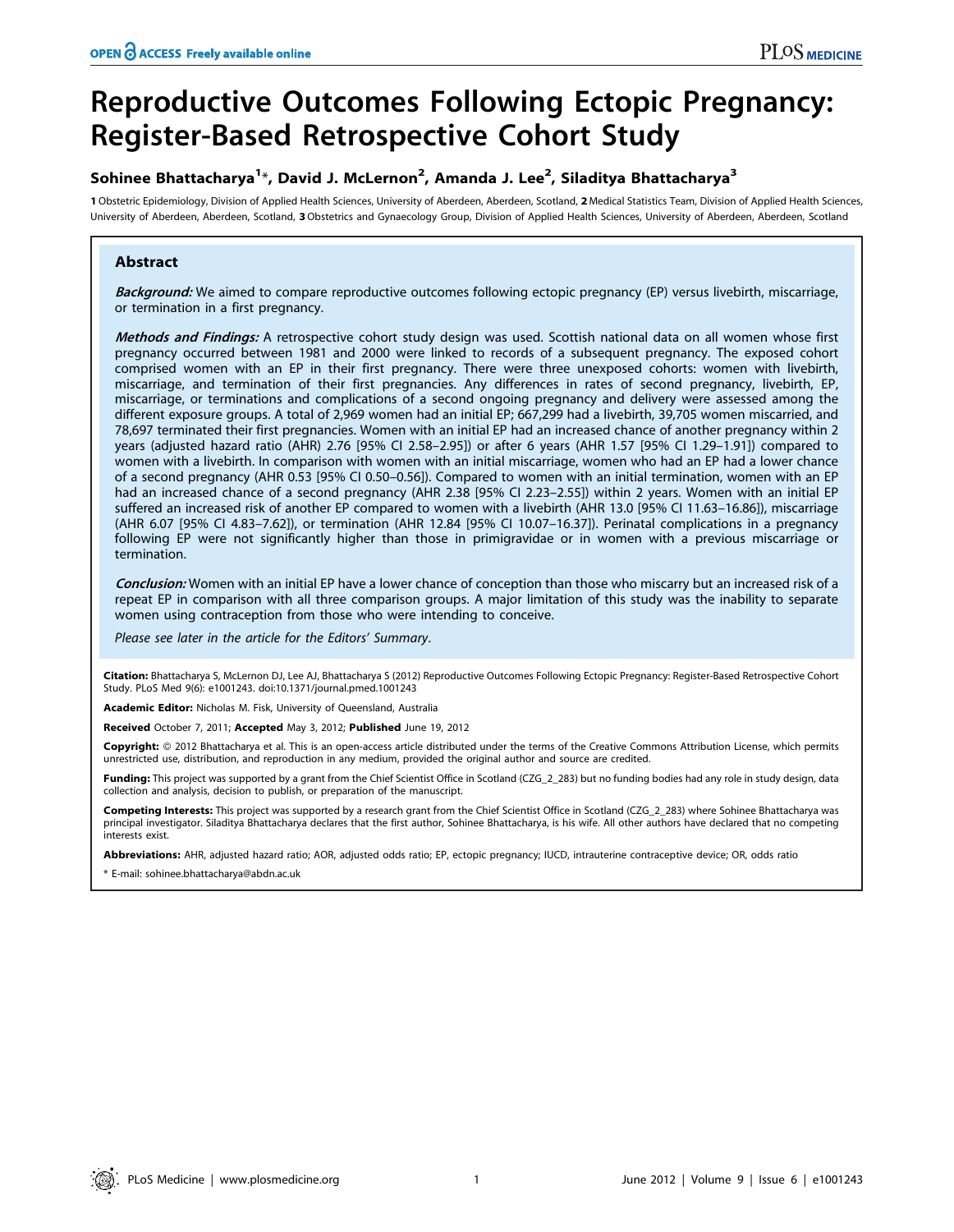# Reproductive Outcomes Following Ectopic Pregnancy: Register-Based Retrospective Cohort Study

# Sohinee Bhattacharya<sup>1</sup>\*, David J. McLernon<sup>2</sup>, Amanda J. Lee<sup>2</sup>, Siladitya Bhattacharya<sup>3</sup>

1 Obstetric Epidemiology, Division of Applied Health Sciences, University of Aberdeen, Aberdeen, Scotland, 2 Medical Statistics Team, Division of Applied Health Sciences, University of Aberdeen, Aberdeen, Scotland, 3Obstetrics and Gynaecology Group, Division of Applied Health Sciences, University of Aberdeen, Aberdeen, Scotland

# Abstract

Background: We aimed to compare reproductive outcomes following ectopic pregnancy (EP) versus livebirth, miscarriage, or termination in a first pregnancy.

Methods and Findings: A retrospective cohort study design was used. Scottish national data on all women whose first pregnancy occurred between 1981 and 2000 were linked to records of a subsequent pregnancy. The exposed cohort comprised women with an EP in their first pregnancy. There were three unexposed cohorts: women with livebirth, miscarriage, and termination of their first pregnancies. Any differences in rates of second pregnancy, livebirth, EP, miscarriage, or terminations and complications of a second ongoing pregnancy and delivery were assessed among the different exposure groups. A total of 2,969 women had an initial EP; 667,299 had a livebirth, 39,705 women miscarried, and 78,697 terminated their first pregnancies. Women with an initial EP had an increased chance of another pregnancy within 2 years (adjusted hazard ratio (AHR) 2.76 [95% CI 2.58–2.95]) or after 6 years (AHR 1.57 [95% CI 1.29–1.91]) compared to women with a livebirth. In comparison with women with an initial miscarriage, women who had an EP had a lower chance of a second pregnancy (AHR 0.53 [95% CI 0.50–0.56]). Compared to women with an initial termination, women with an EP had an increased chance of a second pregnancy (AHR 2.38 [95% CI 2.23-2.55]) within 2 years. Women with an initial EP suffered an increased risk of another EP compared to women with a livebirth (AHR 13.0 [95% CI 11.63–16.86]), miscarriage (AHR 6.07 [95% CI 4.83–7.62]), or termination (AHR 12.84 [95% CI 10.07–16.37]). Perinatal complications in a pregnancy following EP were not significantly higher than those in primigravidae or in women with a previous miscarriage or termination.

Conclusion: Women with an initial EP have a lower chance of conception than those who miscarry but an increased risk of a repeat EP in comparison with all three comparison groups. A major limitation of this study was the inability to separate women using contraception from those who were intending to conceive.

Please see later in the article for the Editors' Summary.

Citation: Bhattacharya S, McLernon DJ, Lee AJ, Bhattacharya S (2012) Reproductive Outcomes Following Ectopic Pregnancy: Register-Based Retrospective Cohort Study. PLoS Med 9(6): e1001243. doi:10.1371/journal.pmed.1001243

Academic Editor: Nicholas M. Fisk, University of Queensland, Australia

Received October 7, 2011; Accepted May 3, 2012; Published June 19, 2012

Copyright: © 2012 Bhattacharya et al. This is an open-access article distributed under the terms of the Creative Commons Attribution License, which permits unrestricted use, distribution, and reproduction in any medium, provided the original author and source are credited.

Funding: This project was supported by a grant from the Chief Scientist Office in Scotland (CZG\_2\_283) but no funding bodies had any role in study design, data collection and analysis, decision to publish, or preparation of the manuscript.

Competing Interests: This project was supported by a research grant from the Chief Scientist Office in Scotland (CZG\_2\_283) where Sohinee Bhattacharya was principal investigator. Siladitya Bhattacharya declares that the first author, Sohinee Bhattacharya, is his wife. All other authors have declared that no competing interests exist.

Abbreviations: AHR, adjusted hazard ratio; AOR, adjusted odds ratio; EP, ectopic pregnancy; IUCD, intrauterine contraceptive device; OR, odds ratio

\* E-mail: sohinee.bhattacharya@abdn.ac.uk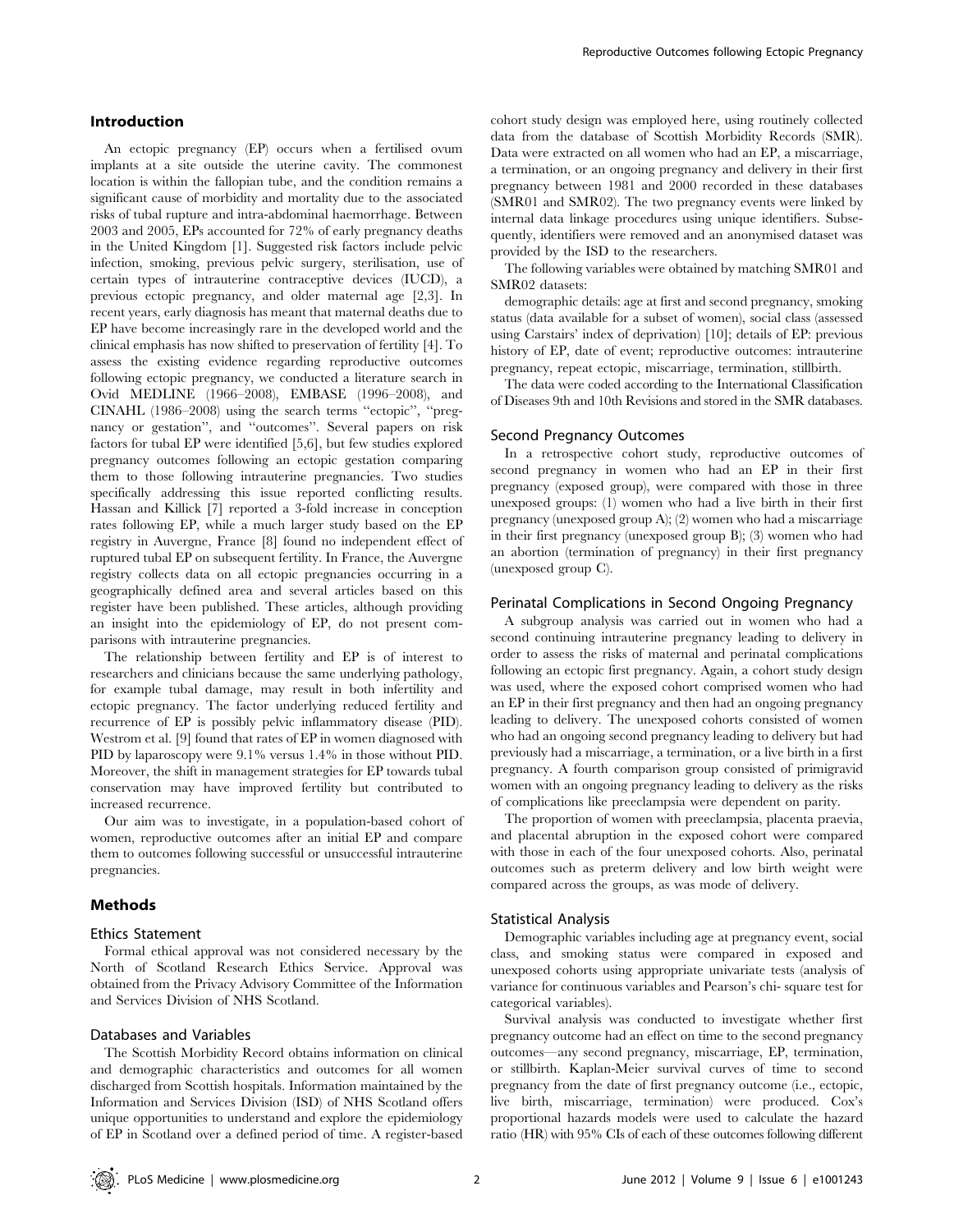#### Introduction

An ectopic pregnancy (EP) occurs when a fertilised ovum implants at a site outside the uterine cavity. The commonest location is within the fallopian tube, and the condition remains a significant cause of morbidity and mortality due to the associated risks of tubal rupture and intra-abdominal haemorrhage. Between 2003 and 2005, EPs accounted for 72% of early pregnancy deaths in the United Kingdom [1]. Suggested risk factors include pelvic infection, smoking, previous pelvic surgery, sterilisation, use of certain types of intrauterine contraceptive devices (IUCD), a previous ectopic pregnancy, and older maternal age [2,3]. In recent years, early diagnosis has meant that maternal deaths due to EP have become increasingly rare in the developed world and the clinical emphasis has now shifted to preservation of fertility [4]. To assess the existing evidence regarding reproductive outcomes following ectopic pregnancy, we conducted a literature search in Ovid MEDLINE (1966–2008), EMBASE (1996–2008), and CINAHL (1986–2008) using the search terms ''ectopic'', ''pregnancy or gestation'', and ''outcomes''. Several papers on risk factors for tubal EP were identified [5,6], but few studies explored pregnancy outcomes following an ectopic gestation comparing them to those following intrauterine pregnancies. Two studies specifically addressing this issue reported conflicting results. Hassan and Killick [7] reported a 3-fold increase in conception rates following EP, while a much larger study based on the EP registry in Auvergne, France [8] found no independent effect of ruptured tubal EP on subsequent fertility. In France, the Auvergne registry collects data on all ectopic pregnancies occurring in a geographically defined area and several articles based on this register have been published. These articles, although providing an insight into the epidemiology of EP, do not present comparisons with intrauterine pregnancies.

The relationship between fertility and EP is of interest to researchers and clinicians because the same underlying pathology, for example tubal damage, may result in both infertility and ectopic pregnancy. The factor underlying reduced fertility and recurrence of EP is possibly pelvic inflammatory disease (PID). Westrom et al. [9] found that rates of EP in women diagnosed with PID by laparoscopy were 9.1% versus 1.4% in those without PID. Moreover, the shift in management strategies for EP towards tubal conservation may have improved fertility but contributed to increased recurrence.

Our aim was to investigate, in a population-based cohort of women, reproductive outcomes after an initial EP and compare them to outcomes following successful or unsuccessful intrauterine pregnancies.

## **Methods**

#### Ethics Statement

Formal ethical approval was not considered necessary by the North of Scotland Research Ethics Service. Approval was obtained from the Privacy Advisory Committee of the Information and Services Division of NHS Scotland.

# Databases and Variables

The Scottish Morbidity Record obtains information on clinical and demographic characteristics and outcomes for all women discharged from Scottish hospitals. Information maintained by the Information and Services Division (ISD) of NHS Scotland offers unique opportunities to understand and explore the epidemiology of EP in Scotland over a defined period of time. A register-based cohort study design was employed here, using routinely collected data from the database of Scottish Morbidity Records (SMR). Data were extracted on all women who had an EP, a miscarriage, a termination, or an ongoing pregnancy and delivery in their first pregnancy between 1981 and 2000 recorded in these databases (SMR01 and SMR02). The two pregnancy events were linked by internal data linkage procedures using unique identifiers. Subsequently, identifiers were removed and an anonymised dataset was provided by the ISD to the researchers.

The following variables were obtained by matching SMR01 and SMR02 datasets:

demographic details: age at first and second pregnancy, smoking status (data available for a subset of women), social class (assessed using Carstairs' index of deprivation) [10]; details of EP: previous history of EP, date of event; reproductive outcomes: intrauterine pregnancy, repeat ectopic, miscarriage, termination, stillbirth.

The data were coded according to the International Classification of Diseases 9th and 10th Revisions and stored in the SMR databases.

#### Second Pregnancy Outcomes

In a retrospective cohort study, reproductive outcomes of second pregnancy in women who had an EP in their first pregnancy (exposed group), were compared with those in three unexposed groups: (1) women who had a live birth in their first pregnancy (unexposed group A); (2) women who had a miscarriage in their first pregnancy (unexposed group B); (3) women who had an abortion (termination of pregnancy) in their first pregnancy (unexposed group C).

# Perinatal Complications in Second Ongoing Pregnancy

A subgroup analysis was carried out in women who had a second continuing intrauterine pregnancy leading to delivery in order to assess the risks of maternal and perinatal complications following an ectopic first pregnancy. Again, a cohort study design was used, where the exposed cohort comprised women who had an EP in their first pregnancy and then had an ongoing pregnancy leading to delivery. The unexposed cohorts consisted of women who had an ongoing second pregnancy leading to delivery but had previously had a miscarriage, a termination, or a live birth in a first pregnancy. A fourth comparison group consisted of primigravid women with an ongoing pregnancy leading to delivery as the risks of complications like preeclampsia were dependent on parity.

The proportion of women with preeclampsia, placenta praevia, and placental abruption in the exposed cohort were compared with those in each of the four unexposed cohorts. Also, perinatal outcomes such as preterm delivery and low birth weight were compared across the groups, as was mode of delivery.

#### Statistical Analysis

Demographic variables including age at pregnancy event, social class, and smoking status were compared in exposed and unexposed cohorts using appropriate univariate tests (analysis of variance for continuous variables and Pearson's chi- square test for categorical variables).

Survival analysis was conducted to investigate whether first pregnancy outcome had an effect on time to the second pregnancy outcomes—any second pregnancy, miscarriage, EP, termination, or stillbirth. Kaplan-Meier survival curves of time to second pregnancy from the date of first pregnancy outcome (i.e., ectopic, live birth, miscarriage, termination) were produced. Cox's proportional hazards models were used to calculate the hazard ratio (HR) with 95% CIs of each of these outcomes following different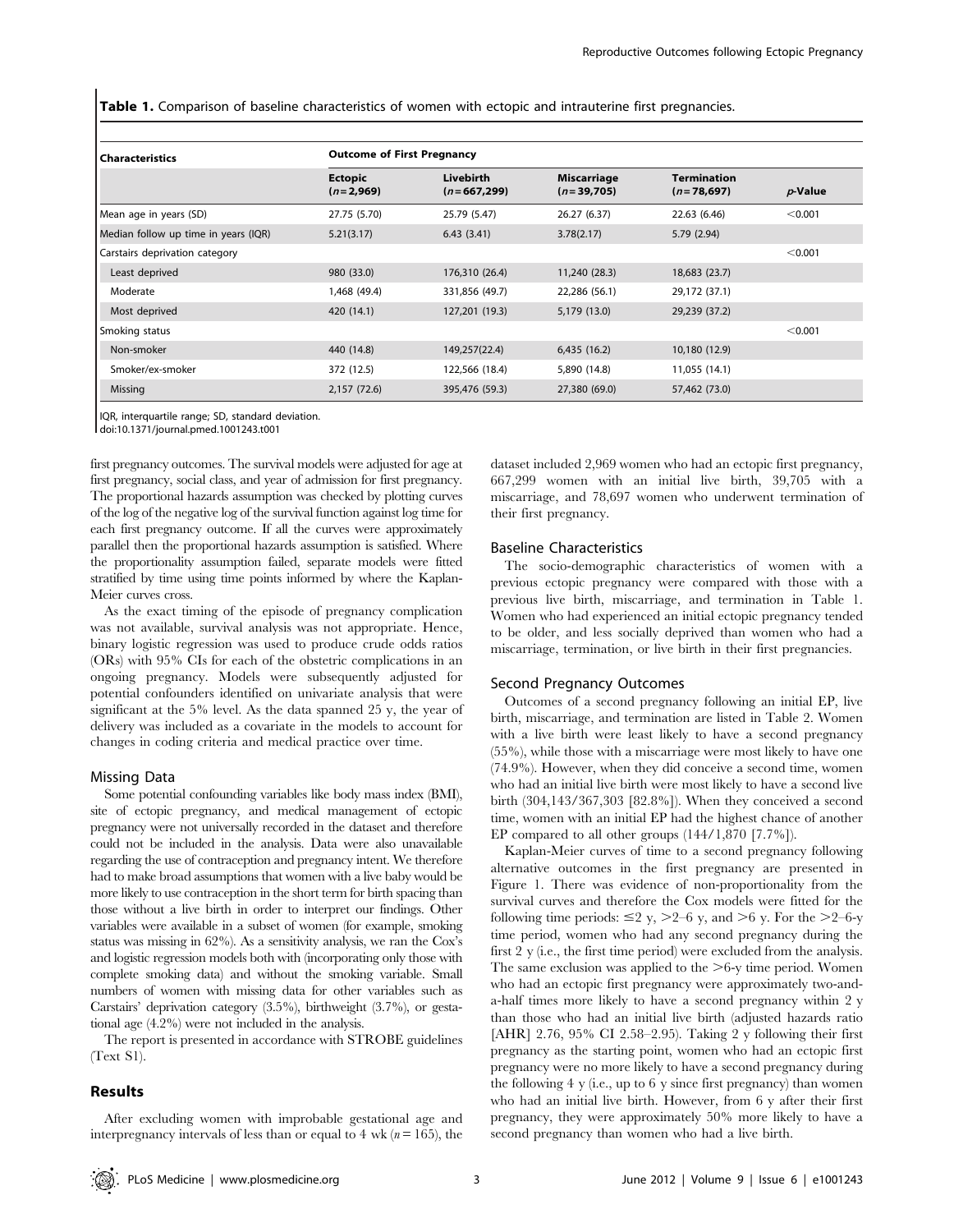Table 1. Comparison of baseline characteristics of women with ectopic and intrauterine first pregnancies.

| <b>Characteristics</b>               | <b>Outcome of First Pregnancy</b> |                            |                                    |                                    |            |  |  |
|--------------------------------------|-----------------------------------|----------------------------|------------------------------------|------------------------------------|------------|--|--|
|                                      | <b>Ectopic</b><br>$(n=2,969)$     | Livebirth<br>$(n=667,299)$ | <b>Miscarriage</b><br>$(n=39,705)$ | <b>Termination</b><br>$(n=78,697)$ | $p$ -Value |  |  |
| Mean age in years (SD)               | 27.75 (5.70)                      | 25.79 (5.47)               | 26.27 (6.37)                       | 22.63 (6.46)                       | < 0.001    |  |  |
| Median follow up time in years (IQR) | 5.21(3.17)                        | 6.43(3.41)                 | 3.78(2.17)                         | 5.79 (2.94)                        |            |  |  |
| Carstairs deprivation category       |                                   |                            |                                    |                                    | < 0.001    |  |  |
| Least deprived                       | 980 (33.0)                        | 176,310 (26.4)             | 11,240 (28.3)                      | 18,683 (23.7)                      |            |  |  |
| Moderate                             | 1,468 (49.4)                      | 331,856 (49.7)             | 22,286 (56.1)                      | 29,172 (37.1)                      |            |  |  |
| Most deprived                        | 420 (14.1)                        | 127,201 (19.3)             | 5,179 (13.0)                       | 29,239 (37.2)                      |            |  |  |
| Smoking status                       |                                   |                            |                                    |                                    | < 0.001    |  |  |
| Non-smoker                           | 440 (14.8)                        | 149,257(22.4)              | 6,435(16.2)                        | 10,180 (12.9)                      |            |  |  |
| Smoker/ex-smoker                     | 372 (12.5)                        | 122,566 (18.4)             | 5,890 (14.8)                       | 11,055 (14.1)                      |            |  |  |
| Missing                              | 2,157 (72.6)                      | 395,476 (59.3)             | 27,380 (69.0)                      | 57,462 (73.0)                      |            |  |  |

IQR, interquartile range; SD, standard deviation.

doi:10.1371/journal.pmed.1001243.t001

first pregnancy outcomes. The survival models were adjusted for age at first pregnancy, social class, and year of admission for first pregnancy. The proportional hazards assumption was checked by plotting curves of the log of the negative log of the survival function against log time for each first pregnancy outcome. If all the curves were approximately parallel then the proportional hazards assumption is satisfied. Where the proportionality assumption failed, separate models were fitted stratified by time using time points informed by where the Kaplan-Meier curves cross.

As the exact timing of the episode of pregnancy complication was not available, survival analysis was not appropriate. Hence, binary logistic regression was used to produce crude odds ratios (ORs) with 95% CIs for each of the obstetric complications in an ongoing pregnancy. Models were subsequently adjusted for potential confounders identified on univariate analysis that were significant at the 5% level. As the data spanned 25 y, the year of delivery was included as a covariate in the models to account for changes in coding criteria and medical practice over time.

#### Missing Data

Some potential confounding variables like body mass index (BMI), site of ectopic pregnancy, and medical management of ectopic pregnancy were not universally recorded in the dataset and therefore could not be included in the analysis. Data were also unavailable regarding the use of contraception and pregnancy intent. We therefore had to make broad assumptions that women with a live baby would be more likely to use contraception in the short term for birth spacing than those without a live birth in order to interpret our findings. Other variables were available in a subset of women (for example, smoking status was missing in 62%). As a sensitivity analysis, we ran the Cox's and logistic regression models both with (incorporating only those with complete smoking data) and without the smoking variable. Small numbers of women with missing data for other variables such as Carstairs' deprivation category (3.5%), birthweight (3.7%), or gestational age (4.2%) were not included in the analysis.

The report is presented in accordance with STROBE guidelines (Text S1).

#### Results

After excluding women with improbable gestational age and interpregnancy intervals of less than or equal to 4 wk ( $n = 165$ ), the

dataset included 2,969 women who had an ectopic first pregnancy, 667,299 women with an initial live birth, 39,705 with a miscarriage, and 78,697 women who underwent termination of their first pregnancy.

#### Baseline Characteristics

The socio-demographic characteristics of women with a previous ectopic pregnancy were compared with those with a previous live birth, miscarriage, and termination in Table 1. Women who had experienced an initial ectopic pregnancy tended to be older, and less socially deprived than women who had a miscarriage, termination, or live birth in their first pregnancies.

#### Second Pregnancy Outcomes

Outcomes of a second pregnancy following an initial EP, live birth, miscarriage, and termination are listed in Table 2. Women with a live birth were least likely to have a second pregnancy (55%), while those with a miscarriage were most likely to have one (74.9%). However, when they did conceive a second time, women who had an initial live birth were most likely to have a second live birth (304,143/367,303 [82.8%]). When they conceived a second time, women with an initial EP had the highest chance of another EP compared to all other groups (144/1,870 [7.7%]).

Kaplan-Meier curves of time to a second pregnancy following alternative outcomes in the first pregnancy are presented in Figure 1. There was evidence of non-proportionality from the survival curves and therefore the Cox models were fitted for the following time periods:  $\leq$  2 y,  $>$  2–6 y, and  $>$ 6 y. For the  $>$  2–6-y time period, women who had any second pregnancy during the first 2 y (i.e., the first time period) were excluded from the analysis. The same exclusion was applied to the  $>6$ -y time period. Women who had an ectopic first pregnancy were approximately two-anda-half times more likely to have a second pregnancy within 2 y than those who had an initial live birth (adjusted hazards ratio [AHR] 2.76, 95% CI 2.58–2.95). Taking 2 y following their first pregnancy as the starting point, women who had an ectopic first pregnancy were no more likely to have a second pregnancy during the following 4 y (i.e., up to 6 y since first pregnancy) than women who had an initial live birth. However, from 6 y after their first pregnancy, they were approximately 50% more likely to have a second pregnancy than women who had a live birth.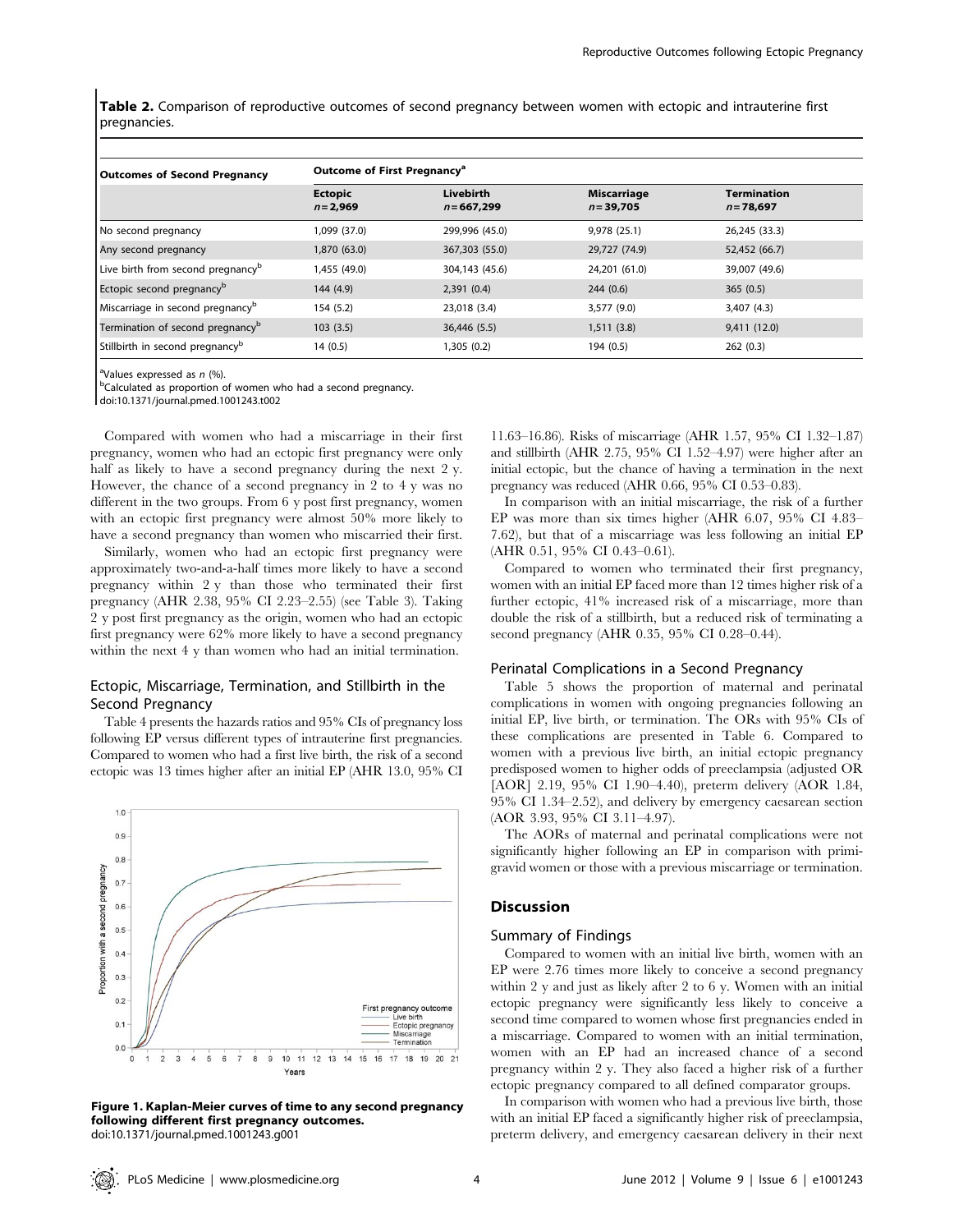Table 2. Comparison of reproductive outcomes of second pregnancy between women with ectopic and intrauterine first pregnancies.

| <b>Outcomes of Second Pregnancy</b>           | Outcome of First Pregnancy <sup>a</sup> |                            |                             |                                    |  |
|-----------------------------------------------|-----------------------------------------|----------------------------|-----------------------------|------------------------------------|--|
|                                               | <b>Ectopic</b><br>$n = 2,969$           | Livebirth<br>$n = 667,299$ | Miscarriage<br>$n = 39,705$ | <b>Termination</b><br>$n = 78,697$ |  |
| No second pregnancy                           | 1,099 (37.0)                            | 299,996 (45.0)             | 9.978(25.1)                 | 26.245 (33.3)                      |  |
| Any second pregnancy                          | 1,870 (63.0)                            | 367,303 (55.0)             | 29,727 (74.9)               | 52,452 (66.7)                      |  |
| Live birth from second pregnancy <sup>p</sup> | 1,455 (49.0)                            | 304,143 (45.6)             | 24,201 (61.0)               | 39,007 (49.6)                      |  |
| Ectopic second pregnancy <sup>b</sup>         | 144 (4.9)                               | 2,391(0.4)                 | 244(0.6)                    | 365(0.5)                           |  |
| Miscarriage in second pregnancy <sup>b</sup>  | 154 (5.2)                               | 23,018 (3.4)               | 3,577 (9.0)                 | 3,407 (4.3)                        |  |
| Termination of second pregnancy <sup>b</sup>  | 103(3.5)                                | 36,446 (5.5)               | 1,511(3.8)                  | 9,411(12.0)                        |  |
| Stillbirth in second pregnancy <sup>b</sup>   | 14(0.5)                                 | 1,305 (0.2)                | 194 (0.5)                   | 262(0.3)                           |  |

<sup>a</sup>Values expressed as  $n$  (%).

<sup>b</sup>Calculated as proportion of women who had a second pregnancy.

doi:10.1371/journal.pmed.1001243.t002

Compared with women who had a miscarriage in their first pregnancy, women who had an ectopic first pregnancy were only half as likely to have a second pregnancy during the next 2 y. However, the chance of a second pregnancy in 2 to 4 y was no different in the two groups. From 6 y post first pregnancy, women with an ectopic first pregnancy were almost 50% more likely to have a second pregnancy than women who miscarried their first.

Similarly, women who had an ectopic first pregnancy were approximately two-and-a-half times more likely to have a second pregnancy within 2 y than those who terminated their first pregnancy (AHR 2.38, 95% CI 2.23–2.55) (see Table 3). Taking 2 y post first pregnancy as the origin, women who had an ectopic first pregnancy were 62% more likely to have a second pregnancy within the next 4 y than women who had an initial termination.

# Ectopic, Miscarriage, Termination, and Stillbirth in the Second Pregnancy

Table 4 presents the hazards ratios and 95% CIs of pregnancy loss following EP versus different types of intrauterine first pregnancies. Compared to women who had a first live birth, the risk of a second ectopic was 13 times higher after an initial EP (AHR 13.0, 95% CI



Figure 1. Kaplan-Meier curves of time to any second pregnancy following different first pregnancy outcomes. doi:10.1371/journal.pmed.1001243.g001

11.63–16.86). Risks of miscarriage (AHR 1.57, 95% CI 1.32–1.87) and stillbirth (AHR 2.75, 95% CI 1.52–4.97) were higher after an initial ectopic, but the chance of having a termination in the next pregnancy was reduced (AHR 0.66, 95% CI 0.53–0.83).

In comparison with an initial miscarriage, the risk of a further EP was more than six times higher (AHR 6.07, 95% CI 4.83– 7.62), but that of a miscarriage was less following an initial EP (AHR 0.51, 95% CI 0.43–0.61).

Compared to women who terminated their first pregnancy, women with an initial EP faced more than 12 times higher risk of a further ectopic, 41% increased risk of a miscarriage, more than double the risk of a stillbirth, but a reduced risk of terminating a second pregnancy (AHR 0.35, 95% CI 0.28–0.44).

## Perinatal Complications in a Second Pregnancy

Table 5 shows the proportion of maternal and perinatal complications in women with ongoing pregnancies following an initial EP, live birth, or termination. The ORs with 95% CIs of these complications are presented in Table 6. Compared to women with a previous live birth, an initial ectopic pregnancy predisposed women to higher odds of preeclampsia (adjusted OR [AOR] 2.19, 95% CI 1.90–4.40), preterm delivery (AOR 1.84, 95% CI 1.34–2.52), and delivery by emergency caesarean section (AOR 3.93, 95% CI 3.11–4.97).

The AORs of maternal and perinatal complications were not significantly higher following an EP in comparison with primigravid women or those with a previous miscarriage or termination.

# Discussion

# Summary of Findings

Compared to women with an initial live birth, women with an EP were 2.76 times more likely to conceive a second pregnancy within 2 y and just as likely after 2 to 6 y. Women with an initial ectopic pregnancy were significantly less likely to conceive a second time compared to women whose first pregnancies ended in a miscarriage. Compared to women with an initial termination, women with an EP had an increased chance of a second pregnancy within 2 y. They also faced a higher risk of a further ectopic pregnancy compared to all defined comparator groups.

In comparison with women who had a previous live birth, those with an initial EP faced a significantly higher risk of preeclampsia, preterm delivery, and emergency caesarean delivery in their next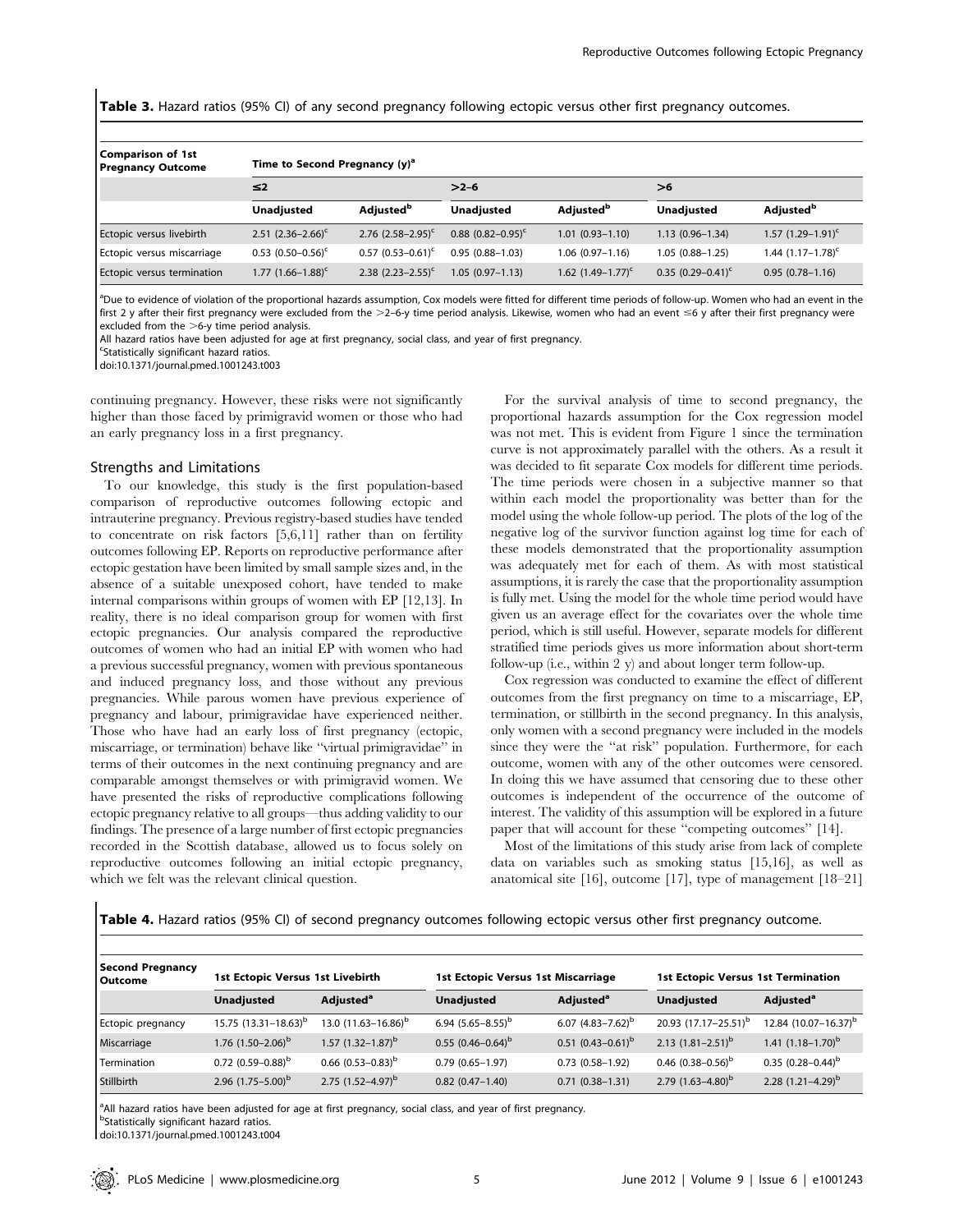Table 3. Hazard ratios (95% CI) of any second pregnancy following ectopic versus other first pregnancy outcomes.

| Comparison of 1st<br><b>Pregnancy Outcome</b> | Time to Second Pregnancy $(y)^a$ |                                     |                          |                                     |                        |                                     |  |
|-----------------------------------------------|----------------------------------|-------------------------------------|--------------------------|-------------------------------------|------------------------|-------------------------------------|--|
|                                               | $\leq$ 2                         |                                     | $>2-6$                   |                                     | >6                     |                                     |  |
|                                               | <b>Unadjusted</b>                | <b>Adjusted</b> <sup><i>p</i></sup> | <b>Unadjusted</b>        | <b>Adjusted</b> <sup><i>p</i></sup> | <b>Unadjusted</b>      | <b>Adjusted</b> <sup><i>p</i></sup> |  |
| Ectopic versus livebirth                      | 2.51 $(2.36-2.66)^c$             | 2.76 $(2.58-2.95)^c$                | $0.88$ $(0.82 - 0.95)^c$ | $1.01(0.93 - 1.10)$                 | $1.13(0.96 - 1.34)$    | 1.57 $(1.29 - 1.91)^c$              |  |
| Ectopic versus miscarriage                    | $0.53$ $(0.50-0.56)^c$           | $0.57$ $(0.53 - 0.61)^c$            | $0.95(0.88 - 1.03)$      | $1.06(0.97-1.16)$                   | $1.05(0.88 - 1.25)$    | 1.44 $(1.17-1.78)$ <sup>c</sup>     |  |
| Ectopic versus termination                    | 1.77 $(1.66 - 1.88)^c$           | 2.38 $(2.23 - 2.55)^c$              | $1.05(0.97 - 1.13)$      | 1.62 $(1.49-1.77)^c$                | 0.35 $(0.29 - 0.41)^c$ | $0.95(0.78 - 1.16)$                 |  |

<sup>a</sup>Due to evidence of violation of the proportional hazards assumption, Cox models were fitted for different time periods of follow-up. Women who had an event in the first 2 y after their first pregnancy were excluded from the  $>2-6$ y time period analysis. Likewise, women who had an event  $\leq 6$  y after their first pregnancy were excluded from the  $>6$ -v time period analysis.

All hazard ratios have been adjusted for age at first pregnancy, social class, and year of first pregnancy.

<sup>c</sup>Statistically significant hazard ratios.

doi:10.1371/journal.pmed.1001243.t003

continuing pregnancy. However, these risks were not significantly higher than those faced by primigravid women or those who had an early pregnancy loss in a first pregnancy.

#### Strengths and Limitations

To our knowledge, this study is the first population-based comparison of reproductive outcomes following ectopic and intrauterine pregnancy. Previous registry-based studies have tended to concentrate on risk factors [5,6,11] rather than on fertility outcomes following EP. Reports on reproductive performance after ectopic gestation have been limited by small sample sizes and, in the absence of a suitable unexposed cohort, have tended to make internal comparisons within groups of women with EP [12,13]. In reality, there is no ideal comparison group for women with first ectopic pregnancies. Our analysis compared the reproductive outcomes of women who had an initial EP with women who had a previous successful pregnancy, women with previous spontaneous and induced pregnancy loss, and those without any previous pregnancies. While parous women have previous experience of pregnancy and labour, primigravidae have experienced neither. Those who have had an early loss of first pregnancy (ectopic, miscarriage, or termination) behave like ''virtual primigravidae'' in terms of their outcomes in the next continuing pregnancy and are comparable amongst themselves or with primigravid women. We have presented the risks of reproductive complications following ectopic pregnancy relative to all groups—thus adding validity to our findings. The presence of a large number of first ectopic pregnancies recorded in the Scottish database, allowed us to focus solely on reproductive outcomes following an initial ectopic pregnancy, which we felt was the relevant clinical question.

For the survival analysis of time to second pregnancy, the proportional hazards assumption for the Cox regression model was not met. This is evident from Figure 1 since the termination curve is not approximately parallel with the others. As a result it was decided to fit separate Cox models for different time periods. The time periods were chosen in a subjective manner so that within each model the proportionality was better than for the model using the whole follow-up period. The plots of the log of the negative log of the survivor function against log time for each of these models demonstrated that the proportionality assumption was adequately met for each of them. As with most statistical assumptions, it is rarely the case that the proportionality assumption is fully met. Using the model for the whole time period would have given us an average effect for the covariates over the whole time period, which is still useful. However, separate models for different stratified time periods gives us more information about short-term follow-up (i.e., within 2 y) and about longer term follow-up.

Cox regression was conducted to examine the effect of different outcomes from the first pregnancy on time to a miscarriage, EP, termination, or stillbirth in the second pregnancy. In this analysis, only women with a second pregnancy were included in the models since they were the ''at risk'' population. Furthermore, for each outcome, women with any of the other outcomes were censored. In doing this we have assumed that censoring due to these other outcomes is independent of the occurrence of the outcome of interest. The validity of this assumption will be explored in a future paper that will account for these ''competing outcomes'' [14].

Most of the limitations of this study arise from lack of complete data on variables such as smoking status [15,16], as well as anatomical site [16], outcome [17], type of management [18–21]

Table 4. Hazard ratios (95% CI) of second pregnancy outcomes following ectopic versus other first pregnancy outcome.

| Second Pregnancy<br>l Outcome | <b>1st Ectopic Versus 1st Livebirth</b> |                                 | 1st Ectopic Versus 1st Miscarriage |                        | <b>1st Ectopic Versus 1st Termination</b> |                                  |
|-------------------------------|-----------------------------------------|---------------------------------|------------------------------------|------------------------|-------------------------------------------|----------------------------------|
|                               | <b>Unadjusted</b>                       | Adjusted <sup>a</sup>           | <b>Unadjusted</b>                  | Adjusted <sup>a</sup>  | <b>Unadjusted</b>                         | Adjusted <sup>a</sup>            |
| Ectopic pregnancy             | 15.75 $(13.31 - 18.63)^b$               | 13.0 (11.63–16.86) <sup>b</sup> | 6.94 $(5.65 - 8.55)^b$             | 6.07 $(4.83 - 7.62)^b$ | 20.93 (17.17-25.51) <sup>b</sup>          | 12.84 (10.07-16.37) <sup>b</sup> |
| Miscarriage                   | 1.76 $(1.50-2.06)^{b}$                  | 1.57 $(1.32 - 1.87)^{b}$        | $0.55(0.46-0.64)^b$                | $0.51$ $(0.43-0.61)^b$ | 2.13 $(1.81 - 2.51)^b$                    | 1.41 $(1.18-1.70)^b$             |
| Termination                   | 0.72 $(0.59-0.88)^{b}$                  | 0.66 $(0.53 - 0.83)^b$          | $0.79(0.65 - 1.97)$                | $0.73(0.58 - 1.92)$    | 0.46 $(0.38-0.56)^b$                      | $0.35(0.28 - 0.44)^b$            |
| Stillbirth                    | 2.96 $(1.75-5.00)^{b}$                  | 2.75 $(1.52 - 4.97)^b$          | $0.82$ $(0.47 - 1.40)$             | $0.71(0.38 - 1.31)$    | 2.79 $(1.63 - 4.80)^b$                    | 2.28 $(1.21 - 4.29)^b$           |

<sup>a</sup>All hazard ratios have been adjusted for age at first pregnancy, social class, and year of first pregnancy.

**bStatistically significant hazard ratios.** 

doi:10.1371/journal.pmed.1001243.t004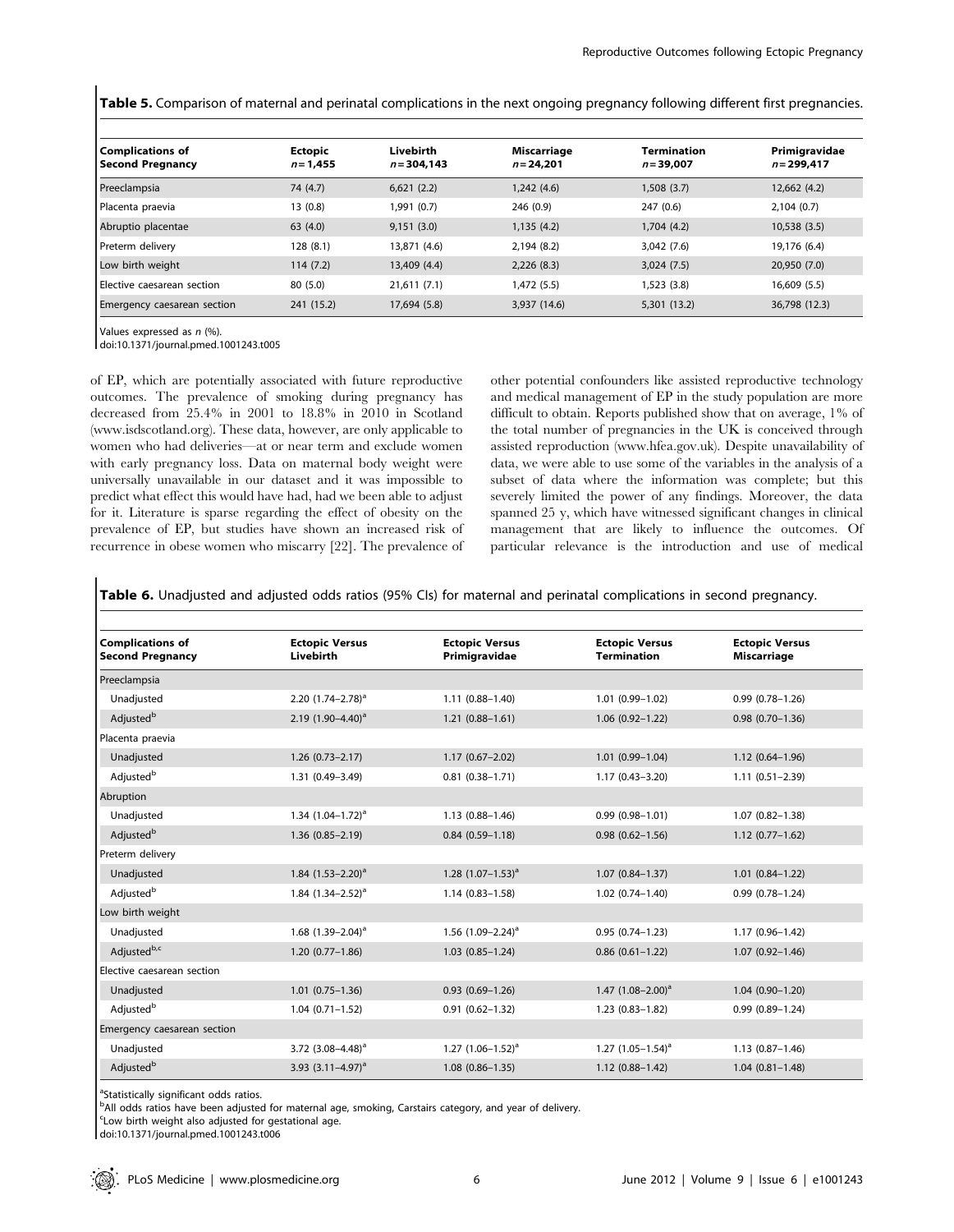Table 5. Comparison of maternal and perinatal complications in the next ongoing pregnancy following different first pregnancies.

| <b>Complications of</b><br>  Second Pregnancy | <b>Ectopic</b><br>$n = 1,455$ | Livebirth<br>$n = 304.143$ | Miscarriage<br>$n = 24.201$ | Termination<br>$n = 39,007$ | Primigravidae<br>$n = 299.417$ |
|-----------------------------------------------|-------------------------------|----------------------------|-----------------------------|-----------------------------|--------------------------------|
| Preeclampsia                                  | 74 (4.7)                      | 6,621(2.2)                 | 1,242(4.6)                  | 1,508(3.7)                  | 12,662 (4.2)                   |
| Placenta praevia                              | 13(0.8)                       | 1,991 (0.7)                | 246 (0.9)                   | 247 (0.6)                   | 2,104(0.7)                     |
| Abruptio placentae                            | 63 (4.0)                      | 9,151(3.0)                 | 1,135(4.2)                  | 1,704 (4.2)                 | 10,538(3.5)                    |
| Preterm delivery                              | 128 (8.1)                     | 13,871 (4.6)               | 2,194 (8.2)                 | 3,042 (7.6)                 | 19,176 (6.4)                   |
| Low birth weight                              | 114(7.2)                      | 13,409 (4.4)               | 2,226(8.3)                  | 3,024(7.5)                  | 20,950 (7.0)                   |
| Elective caesarean section                    | 80 (5.0)                      | 21,611(7.1)                | 1,472(5.5)                  | 1,523 (3.8)                 | 16,609 (5.5)                   |
| Emergency caesarean section                   | 241 (15.2)                    | 17,694 (5.8)               | 3,937 (14.6)                | 5,301 (13.2)                | 36,798 (12.3)                  |

Values expressed as n (%).

doi:10.1371/journal.pmed.1001243.t005

of EP, which are potentially associated with future reproductive outcomes. The prevalence of smoking during pregnancy has decreased from 25.4% in 2001 to 18.8% in 2010 in Scotland (www.isdscotland.org). These data, however, are only applicable to women who had deliveries—at or near term and exclude women with early pregnancy loss. Data on maternal body weight were universally unavailable in our dataset and it was impossible to predict what effect this would have had, had we been able to adjust for it. Literature is sparse regarding the effect of obesity on the prevalence of EP, but studies have shown an increased risk of recurrence in obese women who miscarry [22]. The prevalence of other potential confounders like assisted reproductive technology and medical management of EP in the study population are more difficult to obtain. Reports published show that on average, 1% of the total number of pregnancies in the UK is conceived through assisted reproduction (www.hfea.gov.uk). Despite unavailability of data, we were able to use some of the variables in the analysis of a subset of data where the information was complete; but this severely limited the power of any findings. Moreover, the data spanned 25 y, which have witnessed significant changes in clinical management that are likely to influence the outcomes. Of particular relevance is the introduction and use of medical

Table 6. Unadjusted and adjusted odds ratios (95% CIs) for maternal and perinatal complications in second pregnancy.

| <b>Complications of</b><br><b>Second Pregnancy</b> | <b>Ectopic Versus</b><br>Livebirth | <b>Ectopic Versus</b><br>Primigravidae | <b>Ectopic Versus</b><br><b>Termination</b> | <b>Ectopic Versus</b><br><b>Miscarriage</b> |
|----------------------------------------------------|------------------------------------|----------------------------------------|---------------------------------------------|---------------------------------------------|
| Preeclampsia                                       |                                    |                                        |                                             |                                             |
| Unadjusted                                         | 2.20 $(1.74 - 2.78)^a$             | $1.11(0.88 - 1.40)$                    | $1.01(0.99 - 1.02)$                         | $0.99(0.78 - 1.26)$                         |
| Adjusted <sup>b</sup>                              | 2.19 $(1.90-4.40)^a$               | $1.21(0.88 - 1.61)$                    | $1.06(0.92 - 1.22)$                         | $0.98(0.70-1.36)$                           |
| Placenta praevia                                   |                                    |                                        |                                             |                                             |
| Unadjusted                                         | $1.26(0.73 - 2.17)$                | $1.17(0.67 - 2.02)$                    | $1.01(0.99 - 1.04)$                         | $1.12(0.64 - 1.96)$                         |
| Adjusted <sup>b</sup>                              | 1.31 (0.49-3.49)                   | $0.81(0.38 - 1.71)$                    | $1.17(0.43 - 3.20)$                         | $1.11(0.51 - 2.39)$                         |
| Abruption                                          |                                    |                                        |                                             |                                             |
| Unadjusted                                         | 1.34 $(1.04 - 1.72)^a$             | $1.13(0.88 - 1.46)$                    | $0.99(0.98 - 1.01)$                         | $1.07(0.82 - 1.38)$                         |
| Adjusted <sup>b</sup>                              | $1.36(0.85 - 2.19)$                | $0.84(0.59 - 1.18)$                    | $0.98(0.62 - 1.56)$                         | $1.12(0.77-1.62)$                           |
| Preterm delivery                                   |                                    |                                        |                                             |                                             |
| Unadjusted                                         | 1.84 $(1.53 - 2.20)^a$             | 1.28 $(1.07-1.53)^a$                   | $1.07(0.84 - 1.37)$                         | $1.01(0.84 - 1.22)$                         |
| Adjusted <sup>b</sup>                              | 1.84 $(1.34 - 2.52)^a$             | $1.14(0.83 - 1.58)$                    | $1.02(0.74 - 1.40)$                         | $0.99(0.78 - 1.24)$                         |
| Low birth weight                                   |                                    |                                        |                                             |                                             |
| Unadjusted                                         | 1.68 $(1.39 - 2.04)^a$             | 1.56 $(1.09 - 2.24)^a$                 | $0.95(0.74 - 1.23)$                         | $1.17(0.96 - 1.42)$                         |
| Adjustedb,c                                        | $1.20(0.77 - 1.86)$                | $1.03(0.85 - 1.24)$                    | $0.86$ $(0.61 - 1.22)$                      | $1.07(0.92 - 1.46)$                         |
| Elective caesarean section                         |                                    |                                        |                                             |                                             |
| Unadjusted                                         | $1.01(0.75 - 1.36)$                | $0.93(0.69 - 1.26)$                    | 1.47 $(1.08-2.00)^a$                        | $1.04(0.90 - 1.20)$                         |
| Adjusted <sup>b</sup>                              | $1.04(0.71 - 1.52)$                | $0.91(0.62 - 1.32)$                    | $1.23(0.83 - 1.82)$                         | $0.99(0.89 - 1.24)$                         |
| Emergency caesarean section                        |                                    |                                        |                                             |                                             |
| Unadjusted                                         | 3.72 $(3.08-4.48)^a$               | 1.27 $(1.06-1.52)^a$                   | 1.27 $(1.05-1.54)^a$                        | $1.13(0.87 - 1.46)$                         |
| Adjusted <sup>b</sup>                              | 3.93 $(3.11-4.97)^a$               | $1.08(0.86 - 1.35)$                    | $1.12(0.88 - 1.42)$                         | $1.04(0.81 - 1.48)$                         |

<sup>a</sup>Statistically significant odds ratios.

<sup>b</sup>All odds ratios have been adjusted for maternal age, smoking, Carstairs category, and year of delivery.

c Low birth weight also adjusted for gestational age.

doi:10.1371/journal.pmed.1001243.t006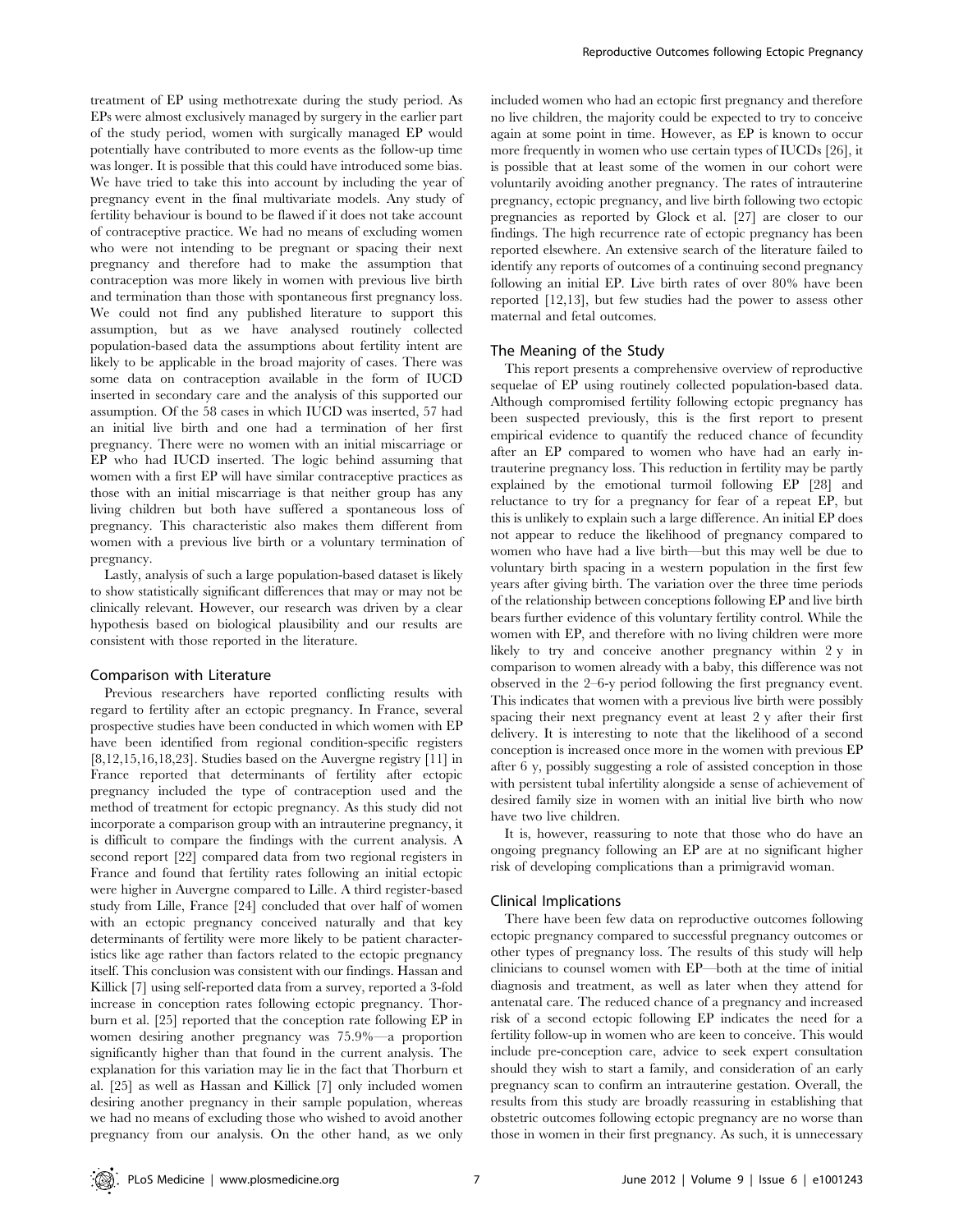treatment of EP using methotrexate during the study period. As EPs were almost exclusively managed by surgery in the earlier part of the study period, women with surgically managed EP would potentially have contributed to more events as the follow-up time was longer. It is possible that this could have introduced some bias. We have tried to take this into account by including the year of pregnancy event in the final multivariate models. Any study of fertility behaviour is bound to be flawed if it does not take account of contraceptive practice. We had no means of excluding women who were not intending to be pregnant or spacing their next pregnancy and therefore had to make the assumption that contraception was more likely in women with previous live birth and termination than those with spontaneous first pregnancy loss. We could not find any published literature to support this assumption, but as we have analysed routinely collected population-based data the assumptions about fertility intent are likely to be applicable in the broad majority of cases. There was some data on contraception available in the form of IUCD inserted in secondary care and the analysis of this supported our assumption. Of the 58 cases in which IUCD was inserted, 57 had an initial live birth and one had a termination of her first pregnancy. There were no women with an initial miscarriage or EP who had IUCD inserted. The logic behind assuming that women with a first EP will have similar contraceptive practices as those with an initial miscarriage is that neither group has any living children but both have suffered a spontaneous loss of pregnancy. This characteristic also makes them different from women with a previous live birth or a voluntary termination of pregnancy.

Lastly, analysis of such a large population-based dataset is likely to show statistically significant differences that may or may not be clinically relevant. However, our research was driven by a clear hypothesis based on biological plausibility and our results are consistent with those reported in the literature.

#### Comparison with Literature

Previous researchers have reported conflicting results with regard to fertility after an ectopic pregnancy. In France, several prospective studies have been conducted in which women with EP have been identified from regional condition-specific registers [8,12,15,16,18,23]. Studies based on the Auvergne registry [11] in France reported that determinants of fertility after ectopic pregnancy included the type of contraception used and the method of treatment for ectopic pregnancy. As this study did not incorporate a comparison group with an intrauterine pregnancy, it is difficult to compare the findings with the current analysis. A second report [22] compared data from two regional registers in France and found that fertility rates following an initial ectopic were higher in Auvergne compared to Lille. A third register-based study from Lille, France [24] concluded that over half of women with an ectopic pregnancy conceived naturally and that key determinants of fertility were more likely to be patient characteristics like age rather than factors related to the ectopic pregnancy itself. This conclusion was consistent with our findings. Hassan and Killick [7] using self-reported data from a survey, reported a 3-fold increase in conception rates following ectopic pregnancy. Thorburn et al. [25] reported that the conception rate following EP in women desiring another pregnancy was 75.9%—a proportion significantly higher than that found in the current analysis. The explanation for this variation may lie in the fact that Thorburn et al. [25] as well as Hassan and Killick [7] only included women desiring another pregnancy in their sample population, whereas we had no means of excluding those who wished to avoid another pregnancy from our analysis. On the other hand, as we only

included women who had an ectopic first pregnancy and therefore no live children, the majority could be expected to try to conceive again at some point in time. However, as EP is known to occur more frequently in women who use certain types of IUCDs [26], it is possible that at least some of the women in our cohort were voluntarily avoiding another pregnancy. The rates of intrauterine pregnancy, ectopic pregnancy, and live birth following two ectopic pregnancies as reported by Glock et al. [27] are closer to our findings. The high recurrence rate of ectopic pregnancy has been reported elsewhere. An extensive search of the literature failed to identify any reports of outcomes of a continuing second pregnancy following an initial EP. Live birth rates of over 80% have been reported [12,13], but few studies had the power to assess other maternal and fetal outcomes.

# The Meaning of the Study

This report presents a comprehensive overview of reproductive sequelae of EP using routinely collected population-based data. Although compromised fertility following ectopic pregnancy has been suspected previously, this is the first report to present empirical evidence to quantify the reduced chance of fecundity after an EP compared to women who have had an early intrauterine pregnancy loss. This reduction in fertility may be partly explained by the emotional turmoil following EP [28] and reluctance to try for a pregnancy for fear of a repeat EP, but this is unlikely to explain such a large difference. An initial EP does not appear to reduce the likelihood of pregnancy compared to women who have had a live birth—but this may well be due to voluntary birth spacing in a western population in the first few years after giving birth. The variation over the three time periods of the relationship between conceptions following EP and live birth bears further evidence of this voluntary fertility control. While the women with EP, and therefore with no living children were more likely to try and conceive another pregnancy within 2 y in comparison to women already with a baby, this difference was not observed in the 2–6-y period following the first pregnancy event. This indicates that women with a previous live birth were possibly spacing their next pregnancy event at least 2 y after their first delivery. It is interesting to note that the likelihood of a second conception is increased once more in the women with previous EP after 6 y, possibly suggesting a role of assisted conception in those with persistent tubal infertility alongside a sense of achievement of desired family size in women with an initial live birth who now have two live children.

It is, however, reassuring to note that those who do have an ongoing pregnancy following an EP are at no significant higher risk of developing complications than a primigravid woman.

# Clinical Implications

There have been few data on reproductive outcomes following ectopic pregnancy compared to successful pregnancy outcomes or other types of pregnancy loss. The results of this study will help clinicians to counsel women with EP—both at the time of initial diagnosis and treatment, as well as later when they attend for antenatal care. The reduced chance of a pregnancy and increased risk of a second ectopic following EP indicates the need for a fertility follow-up in women who are keen to conceive. This would include pre-conception care, advice to seek expert consultation should they wish to start a family, and consideration of an early pregnancy scan to confirm an intrauterine gestation. Overall, the results from this study are broadly reassuring in establishing that obstetric outcomes following ectopic pregnancy are no worse than those in women in their first pregnancy. As such, it is unnecessary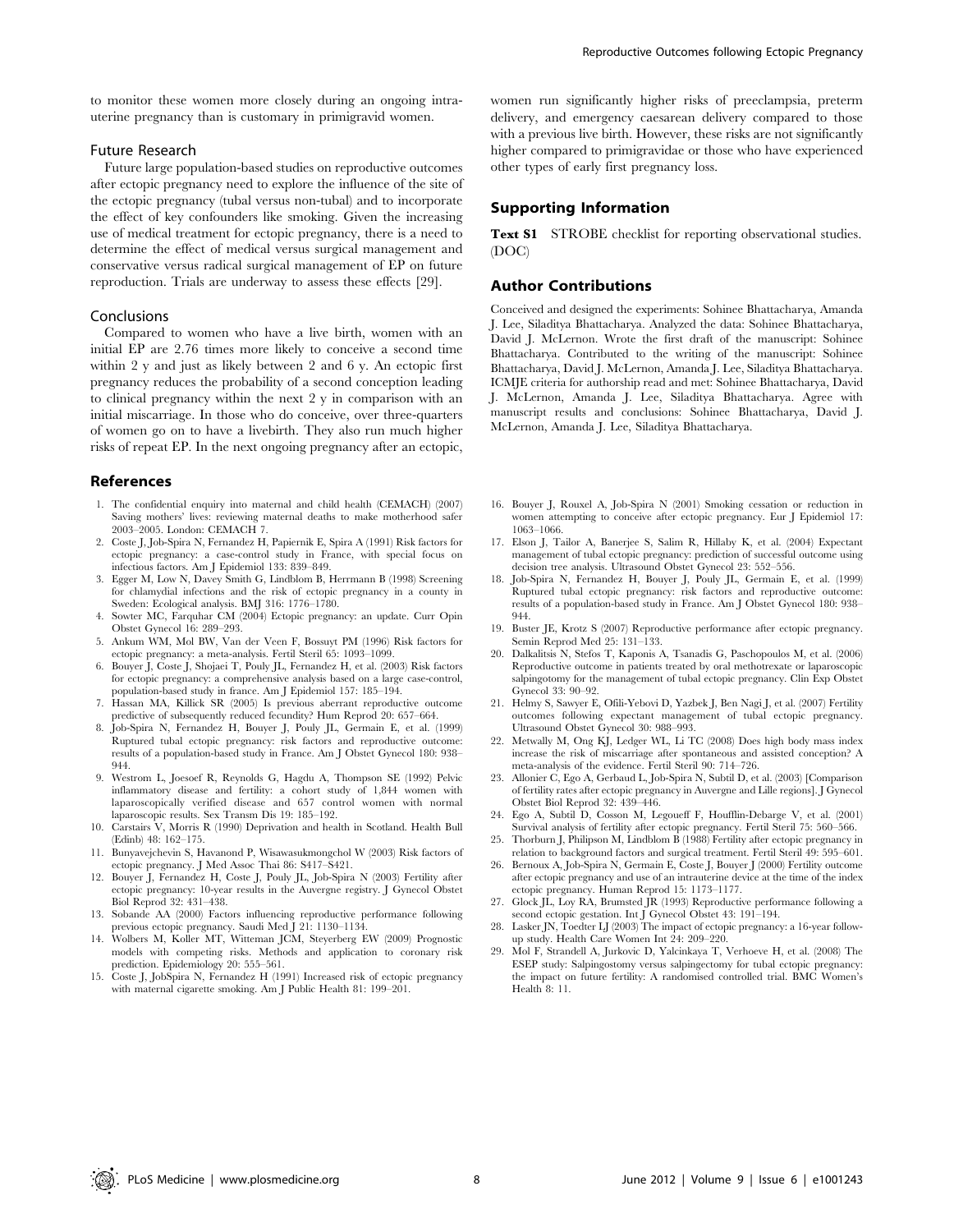to monitor these women more closely during an ongoing intrauterine pregnancy than is customary in primigravid women.

# Future Research

Future large population-based studies on reproductive outcomes after ectopic pregnancy need to explore the influence of the site of the ectopic pregnancy (tubal versus non-tubal) and to incorporate the effect of key confounders like smoking. Given the increasing use of medical treatment for ectopic pregnancy, there is a need to determine the effect of medical versus surgical management and conservative versus radical surgical management of EP on future reproduction. Trials are underway to assess these effects [29].

#### Conclusions

Compared to women who have a live birth, women with an initial EP are 2.76 times more likely to conceive a second time within 2 y and just as likely between 2 and 6 y. An ectopic first pregnancy reduces the probability of a second conception leading to clinical pregnancy within the next 2 y in comparison with an initial miscarriage. In those who do conceive, over three-quarters of women go on to have a livebirth. They also run much higher risks of repeat EP. In the next ongoing pregnancy after an ectopic,

#### References

- 1. The confidential enquiry into maternal and child health (CEMACH) (2007) Saving mothers' lives: reviewing maternal deaths to make motherhood safer 2003–2005. London: CEMACH 7.
- 2. Coste J, Job-Spira N, Fernandez H, Papiernik E, Spira A (1991) Risk factors for ectopic pregnancy: a case-control study in France, with special focus on infectious factors. Am J Epidemiol 133: 839–849.
- 3. Egger M, Low N, Davey Smith G, Lindblom B, Herrmann B (1998) Screening for chlamydial infections and the risk of ectopic pregnancy in a county in Sweden: Ecological analysis. BMJ 316: 1776–1780.
- 4. Sowter MC, Farquhar CM (2004) Ectopic pregnancy: an update. Curr Opin Obstet Gynecol 16: 289–293.
- 5. Ankum WM, Mol BW, Van der Veen F, Bossuyt PM (1996) Risk factors for ectopic pregnancy: a meta-analysis. Fertil Steril 65: 1093–1099.
- 6. Bouyer J, Coste J, Shojaei T, Pouly JL, Fernandez H, et al. (2003) Risk factors for ectopic pregnancy: a comprehensive analysis based on a large case-control, population-based study in france. Am J Epidemiol 157: 185–194.
- 7. Hassan MA, Killick SR (2005) Is previous aberrant reproductive outcome predictive of subsequently reduced fecundity? Hum Reprod 20: 657–664.
- 8. Job-Spira N, Fernandez H, Bouyer J, Pouly JL, Germain E, et al. (1999) Ruptured tubal ectopic pregnancy: risk factors and reproductive outcome: results of a population-based study in France. Am J Obstet Gynecol 180: 938– 944.
- 9. Westrom L, Joesoef R, Reynolds G, Hagdu A, Thompson SE (1992) Pelvic inflammatory disease and fertility: a cohort study of 1,844 women with laparoscopically verified disease and 657 control women with normal laparoscopic results. Sex Transm Dis 19: 185–192.
- 10. Carstairs V, Morris R (1990) Deprivation and health in Scotland. Health Bull (Edinb) 48: 162–175.
- 11. Bunyavejchevin S, Havanond P, Wisawasukmongchol W (2003) Risk factors of ectopic pregnancy. J Med Assoc Thai 86: S417–S421.
- 12. Bouyer J, Fernandez H, Coste J, Pouly JL, Job-Spira N (2003) Fertility after ectopic pregnancy: 10-year results in the Auvergne registry. J Gynecol Obstet Biol Reprod 32: 431–438.
- 13. Sobande AA (2000) Factors influencing reproductive performance following
- previous ectopic pregnancy. Saudi Med J 21: 1130–1134. 14. Wolbers M, Koller MT, Witteman JCM, Steyerberg EW (2009) Prognostic models with competing risks. Methods and application to coronary risk prediction. Epidemiology 20: 555–561.
- 15. Coste J, JobSpira N, Fernandez H (1991) Increased risk of ectopic pregnancy with maternal cigarette smoking. Am J Public Health 81: 199–201.

women run significantly higher risks of preeclampsia, preterm delivery, and emergency caesarean delivery compared to those with a previous live birth. However, these risks are not significantly higher compared to primigravidae or those who have experienced other types of early first pregnancy loss.

## Supporting Information

Text S1 STROBE checklist for reporting observational studies. (DOC)

# Author Contributions

Conceived and designed the experiments: Sohinee Bhattacharya, Amanda J. Lee, Siladitya Bhattacharya. Analyzed the data: Sohinee Bhattacharya, David J. McLernon. Wrote the first draft of the manuscript: Sohinee Bhattacharya. Contributed to the writing of the manuscript: Sohinee Bhattacharya, David J. McLernon, Amanda J. Lee, Siladitya Bhattacharya. ICMJE criteria for authorship read and met: Sohinee Bhattacharya, David J. McLernon, Amanda J. Lee, Siladitya Bhattacharya. Agree with manuscript results and conclusions: Sohinee Bhattacharya, David J. McLernon, Amanda J. Lee, Siladitya Bhattacharya.

- 16. Bouyer J, Rouxel A, Job-Spira N (2001) Smoking cessation or reduction in women attempting to conceive after ectopic pregnancy. Eur J Epidemiol 17: 1063–1066.
- 17. Elson J, Tailor A, Banerjee S, Salim R, Hillaby K, et al. (2004) Expectant management of tubal ectopic pregnancy: prediction of successful outcome using decision tree analysis. Ultrasound Obstet Gynecol 23: 552–556.
- 18. Job-Spira N, Fernandez H, Bouyer J, Pouly JL, Germain E, et al. (1999) Ruptured tubal ectopic pregnancy: risk factors and reproductive outcome: results of a population-based study in France. Am J Obstet Gynecol 180: 938– 944.
- 19. Buster JE, Krotz S (2007) Reproductive performance after ectopic pregnancy. Semin Reprod Med 25: 131–133.
- 20. Dalkalitsis N, Stefos T, Kaponis A, Tsanadis G, Paschopoulos M, et al. (2006) Reproductive outcome in patients treated by oral methotrexate or laparoscopic salpingotomy for the management of tubal ectopic pregnancy. Clin Exp Obstet Gynecol 33: 90–92.
- 21. Helmy S, Sawyer E, Ofili-Yebovi D, Yazbek J, Ben Nagi J, et al. (2007) Fertility outcomes following expectant management of tubal ectopic pregnancy. Ultrasound Obstet Gynecol 30: 988–993.
- 22. Metwally M, Ong KJ, Ledger WL, Li TC (2008) Does high body mass index increase the risk of miscarriage after spontaneous and assisted conception? A meta-analysis of the evidence. Fertil Steril 90: 714–726.
- 23. Allonier C, Ego A, Gerbaud L, Job-Spira N, Subtil D, et al. (2003) [Comparison of fertility rates after ectopic pregnancy in Auvergne and Lille regions]. J Gynecol Obstet Biol Reprod 32: 439–446.
- 24. Ego A, Subtil D, Cosson M, Legoueff F, Houfflin-Debarge V, et al. (2001) Survival analysis of fertility after ectopic pregnancy. Fertil Steril 75: 560–566.
- 25. Thorburn J, Philipson M, Lindblom B (1988) Fertility after ectopic pregnancy in relation to background factors and surgical treatment. Fertil Steril 49: 595–601.
- 26. Bernoux A, Job-Spira N, Germain E, Coste J, Bouyer J (2000) Fertility outcome after ectopic pregnancy and use of an intrauterine device at the time of the index ectopic pregnancy. Human Reprod 15: 1173–1177. 27. Glock JL, Loy RA, Brumsted JR (1993) Reproductive performance following a
- second ectopic gestation. Int J Gynecol Obstet 43: 191–194.
- 28. Lasker JN, Toedter LJ (2003) The impact of ectopic pregnancy: a 16-year followup study. Health Care Women Int 24: 209–220.
- 29. Mol F, Strandell A, Jurkovic D, Yalcinkaya T, Verhoeve H, et al. (2008) The ESEP study: Salpingostomy versus salpingectomy for tubal ectopic pregnancy: the impact on future fertility: A randomised controlled trial. BMC Women's Health 8: 11.